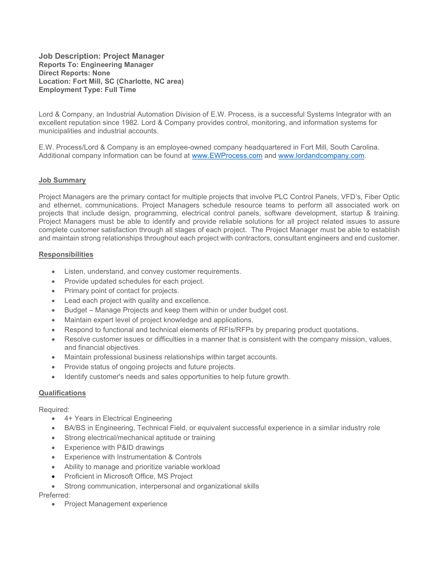Job Description: Project Manager Reports To: Engineering Manager Direct Reports: None Location: Fort Mill, SC (Charlotte, NC area) Employment Type: Full Time

Lord & Company, an Industrial Automation Division of E.W. Process, is a successful Systems Integrator with an excellent reputation since 1982. Lord & Company provides control, monitoring, and information systems for municipalities and industrial accounts.

E.W. Process/Lord & Company is an employee-owned company headquartered in Fort Mill, South Carolina. Additional company information can be found at www.EWProcess.com and www.lordandcompany.com.

## Job Summary

Project Managers are the primary contact for multiple projects that involve PLC Control Panels, VFD's, Fiber Optic and ethernet, communications. Project Managers schedule resource teams to perform all associated work on projects that include design, programming, electrical control panels, software development, startup & training. Project Managers must be able to identify and provide reliable solutions for all project related issues to assure complete customer satisfaction through all stages of each project. The Project Manager must be able to establish and maintain strong relationships throughout each project with contractors, consultant engineers and end customer.

## **Responsibilities**

- Listen, understand, and convey customer requirements.
- Provide updated schedules for each project.
- Primary point of contact for projects.
- Lead each project with quality and excellence.
- Budget Manage Projects and keep them within or under budget cost.
- Maintain expert level of project knowledge and applications.
- Respond to functional and technical elements of RFIs/RFPs by preparing product quotations.
- Resolve customer issues or difficulties in a manner that is consistent with the company mission, values, and financial objectives.
- Maintain professional business relationships within target accounts.
- Provide status of ongoing projects and future projects.
- Identify customer's needs and sales opportunities to help future growth.

## **Qualifications**

Required:

- 4+ Years in Electrical Engineering
- BA/BS in Engineering, Technical Field, or equivalent successful experience in a similar industry role
- Strong electrical/mechanical aptitude or training
- Experience with P&ID drawings
- Experience with Instrumentation & Controls
- Ability to manage and prioritize variable workload
- Proficient in Microsoft Office, MS Project
- Strong communication, interpersonal and organizational skills

Preferred:

• Project Management experience